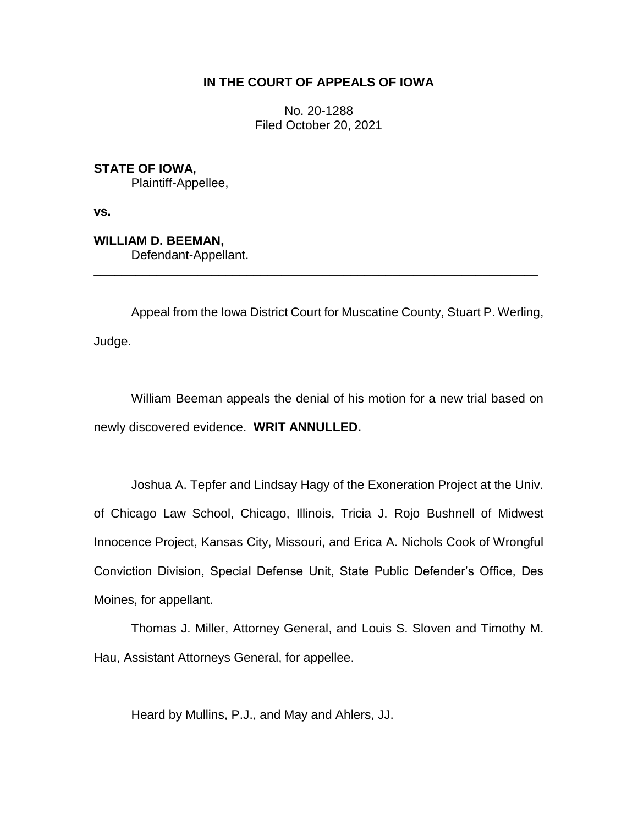## **IN THE COURT OF APPEALS OF IOWA**

No. 20-1288 Filed October 20, 2021

**STATE OF IOWA,** Plaintiff-Appellee,

**vs.**

**WILLIAM D. BEEMAN,**

Defendant-Appellant.

Appeal from the Iowa District Court for Muscatine County, Stuart P. Werling, Judge.

\_\_\_\_\_\_\_\_\_\_\_\_\_\_\_\_\_\_\_\_\_\_\_\_\_\_\_\_\_\_\_\_\_\_\_\_\_\_\_\_\_\_\_\_\_\_\_\_\_\_\_\_\_\_\_\_\_\_\_\_\_\_\_\_

William Beeman appeals the denial of his motion for a new trial based on newly discovered evidence. **WRIT ANNULLED.**

Joshua A. Tepfer and Lindsay Hagy of the Exoneration Project at the Univ. of Chicago Law School, Chicago, Illinois, Tricia J. Rojo Bushnell of Midwest Innocence Project, Kansas City, Missouri, and Erica A. Nichols Cook of Wrongful Conviction Division, Special Defense Unit, State Public Defender's Office, Des Moines, for appellant.

Thomas J. Miller, Attorney General, and Louis S. Sloven and Timothy M. Hau, Assistant Attorneys General, for appellee.

Heard by Mullins, P.J., and May and Ahlers, JJ.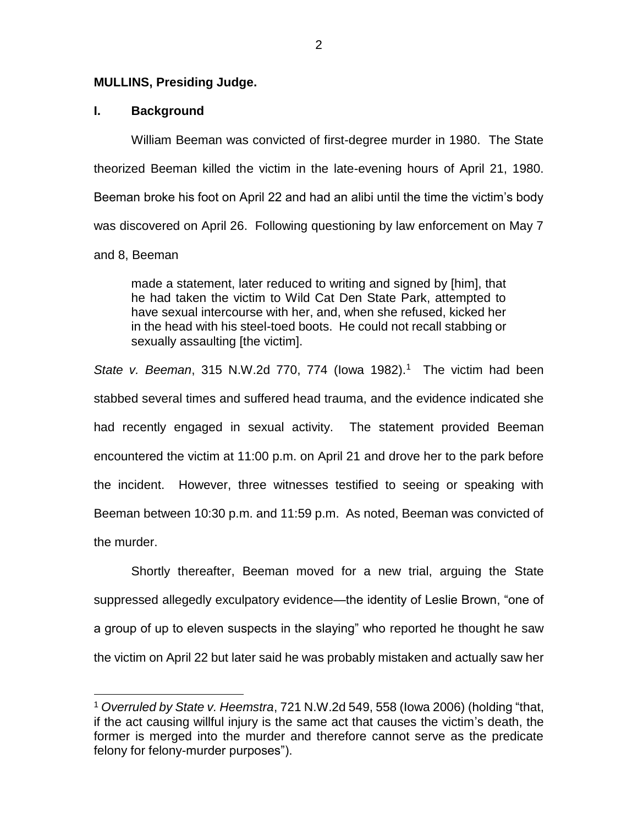#### **MULLINS, Presiding Judge.**

## **I. Background**

 $\overline{a}$ 

William Beeman was convicted of first-degree murder in 1980. The State theorized Beeman killed the victim in the late-evening hours of April 21, 1980. Beeman broke his foot on April 22 and had an alibi until the time the victim's body was discovered on April 26. Following questioning by law enforcement on May 7 and 8, Beeman

made a statement, later reduced to writing and signed by [him], that he had taken the victim to Wild Cat Den State Park, attempted to have sexual intercourse with her, and, when she refused, kicked her in the head with his steel-toed boots. He could not recall stabbing or sexually assaulting [the victim].

*State v. Beeman*, 315 N.W.2d 770, 774 (lowa 1982).<sup>1</sup> The victim had been stabbed several times and suffered head trauma, and the evidence indicated she had recently engaged in sexual activity. The statement provided Beeman encountered the victim at 11:00 p.m. on April 21 and drove her to the park before the incident. However, three witnesses testified to seeing or speaking with Beeman between 10:30 p.m. and 11:59 p.m. As noted, Beeman was convicted of the murder.

Shortly thereafter, Beeman moved for a new trial, arguing the State suppressed allegedly exculpatory evidence—the identity of Leslie Brown, "one of a group of up to eleven suspects in the slaying" who reported he thought he saw the victim on April 22 but later said he was probably mistaken and actually saw her

<sup>1</sup> *Overruled by State v. Heemstra*, 721 N.W.2d 549, 558 (Iowa 2006) (holding "that, if the act causing willful injury is the same act that causes the victim's death, the former is merged into the murder and therefore cannot serve as the predicate felony for felony-murder purposes").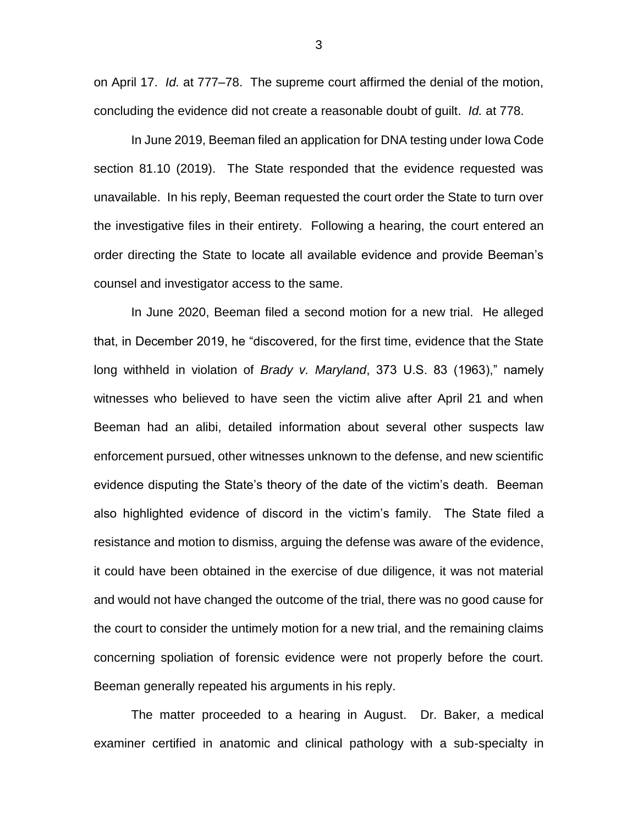on April 17. *Id.* at 777–78. The supreme court affirmed the denial of the motion, concluding the evidence did not create a reasonable doubt of guilt. *Id.* at 778.

In June 2019, Beeman filed an application for DNA testing under Iowa Code section 81.10 (2019). The State responded that the evidence requested was unavailable. In his reply, Beeman requested the court order the State to turn over the investigative files in their entirety. Following a hearing, the court entered an order directing the State to locate all available evidence and provide Beeman's counsel and investigator access to the same.

In June 2020, Beeman filed a second motion for a new trial. He alleged that, in December 2019, he "discovered, for the first time, evidence that the State long withheld in violation of *Brady v. Maryland*, 373 U.S. 83 (1963)," namely witnesses who believed to have seen the victim alive after April 21 and when Beeman had an alibi, detailed information about several other suspects law enforcement pursued, other witnesses unknown to the defense, and new scientific evidence disputing the State's theory of the date of the victim's death. Beeman also highlighted evidence of discord in the victim's family. The State filed a resistance and motion to dismiss, arguing the defense was aware of the evidence, it could have been obtained in the exercise of due diligence, it was not material and would not have changed the outcome of the trial, there was no good cause for the court to consider the untimely motion for a new trial, and the remaining claims concerning spoliation of forensic evidence were not properly before the court. Beeman generally repeated his arguments in his reply.

The matter proceeded to a hearing in August. Dr. Baker, a medical examiner certified in anatomic and clinical pathology with a sub-specialty in

3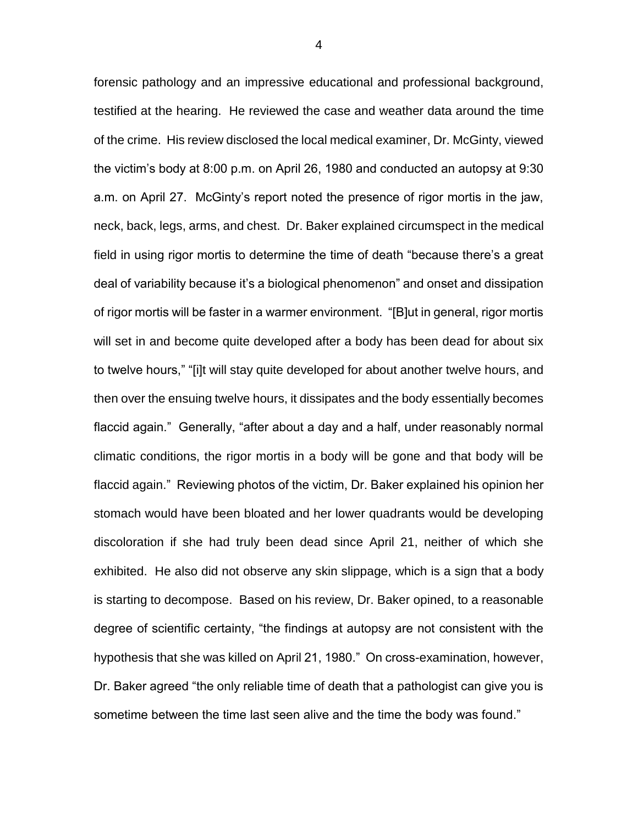forensic pathology and an impressive educational and professional background, testified at the hearing. He reviewed the case and weather data around the time of the crime. His review disclosed the local medical examiner, Dr. McGinty, viewed the victim's body at 8:00 p.m. on April 26, 1980 and conducted an autopsy at 9:30 a.m. on April 27. McGinty's report noted the presence of rigor mortis in the jaw, neck, back, legs, arms, and chest. Dr. Baker explained circumspect in the medical field in using rigor mortis to determine the time of death "because there's a great deal of variability because it's a biological phenomenon" and onset and dissipation of rigor mortis will be faster in a warmer environment. "[B]ut in general, rigor mortis will set in and become quite developed after a body has been dead for about six to twelve hours," "[i]t will stay quite developed for about another twelve hours, and then over the ensuing twelve hours, it dissipates and the body essentially becomes flaccid again." Generally, "after about a day and a half, under reasonably normal climatic conditions, the rigor mortis in a body will be gone and that body will be flaccid again." Reviewing photos of the victim, Dr. Baker explained his opinion her stomach would have been bloated and her lower quadrants would be developing discoloration if she had truly been dead since April 21, neither of which she exhibited. He also did not observe any skin slippage, which is a sign that a body is starting to decompose. Based on his review, Dr. Baker opined, to a reasonable degree of scientific certainty, "the findings at autopsy are not consistent with the hypothesis that she was killed on April 21, 1980." On cross-examination, however, Dr. Baker agreed "the only reliable time of death that a pathologist can give you is sometime between the time last seen alive and the time the body was found."

4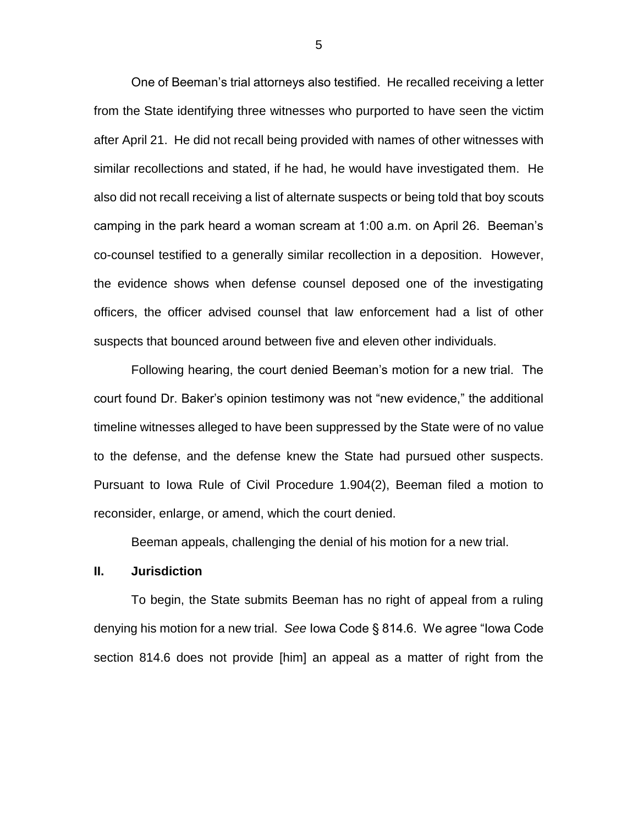One of Beeman's trial attorneys also testified. He recalled receiving a letter from the State identifying three witnesses who purported to have seen the victim after April 21. He did not recall being provided with names of other witnesses with similar recollections and stated, if he had, he would have investigated them. He also did not recall receiving a list of alternate suspects or being told that boy scouts camping in the park heard a woman scream at 1:00 a.m. on April 26. Beeman's co-counsel testified to a generally similar recollection in a deposition. However, the evidence shows when defense counsel deposed one of the investigating officers, the officer advised counsel that law enforcement had a list of other suspects that bounced around between five and eleven other individuals.

Following hearing, the court denied Beeman's motion for a new trial. The court found Dr. Baker's opinion testimony was not "new evidence," the additional timeline witnesses alleged to have been suppressed by the State were of no value to the defense, and the defense knew the State had pursued other suspects. Pursuant to Iowa Rule of Civil Procedure 1.904(2), Beeman filed a motion to reconsider, enlarge, or amend, which the court denied.

Beeman appeals, challenging the denial of his motion for a new trial.

## **II. Jurisdiction**

To begin, the State submits Beeman has no right of appeal from a ruling denying his motion for a new trial. *See* Iowa Code § 814.6. We agree "Iowa Code section 814.6 does not provide [him] an appeal as a matter of right from the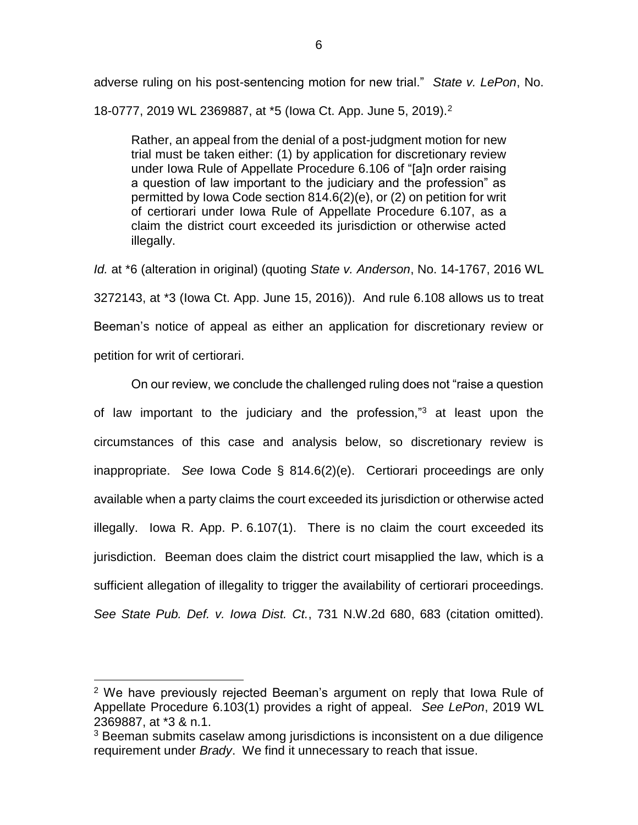adverse ruling on his post-sentencing motion for new trial." *State v. LePon*, No. 18-0777, 2019 WL 2369887, at \*5 (Iowa Ct. App. June 5, 2019).<sup>2</sup>

Rather, an appeal from the denial of a post-judgment motion for new trial must be taken either: (1) by application for discretionary review under Iowa Rule of Appellate Procedure 6.106 of "[a]n order raising a question of law important to the judiciary and the profession" as permitted by Iowa Code section 814.6(2)(e), or (2) on petition for writ of certiorari under Iowa Rule of Appellate Procedure 6.107, as a claim the district court exceeded its jurisdiction or otherwise acted illegally.

*Id.* at \*6 (alteration in original) (quoting *State v. Anderson*, No. 14-1767, 2016 WL 3272143, at \*3 (Iowa Ct. App. June 15, 2016)). And rule 6.108 allows us to treat Beeman's notice of appeal as either an application for discretionary review or petition for writ of certiorari.

On our review, we conclude the challenged ruling does not "raise a question of law important to the judiciary and the profession,"<sup>3</sup> at least upon the circumstances of this case and analysis below, so discretionary review is inappropriate. *See* Iowa Code § 814.6(2)(e). Certiorari proceedings are only available when a party claims the court exceeded its jurisdiction or otherwise acted illegally. Iowa R. App. P. 6.107(1). There is no claim the court exceeded its jurisdiction. Beeman does claim the district court misapplied the law, which is a sufficient allegation of illegality to trigger the availability of certiorari proceedings. *See State Pub. Def. v. Iowa Dist. Ct.*, 731 N.W.2d 680, 683 (citation omitted).

 $\overline{a}$ 

<sup>2</sup> We have previously rejected Beeman's argument on reply that Iowa Rule of Appellate Procedure 6.103(1) provides a right of appeal. *See LePon*, 2019 WL 2369887, at \*3 & n.1.

<sup>&</sup>lt;sup>3</sup> Beeman submits caselaw among jurisdictions is inconsistent on a due diligence requirement under *Brady*. We find it unnecessary to reach that issue.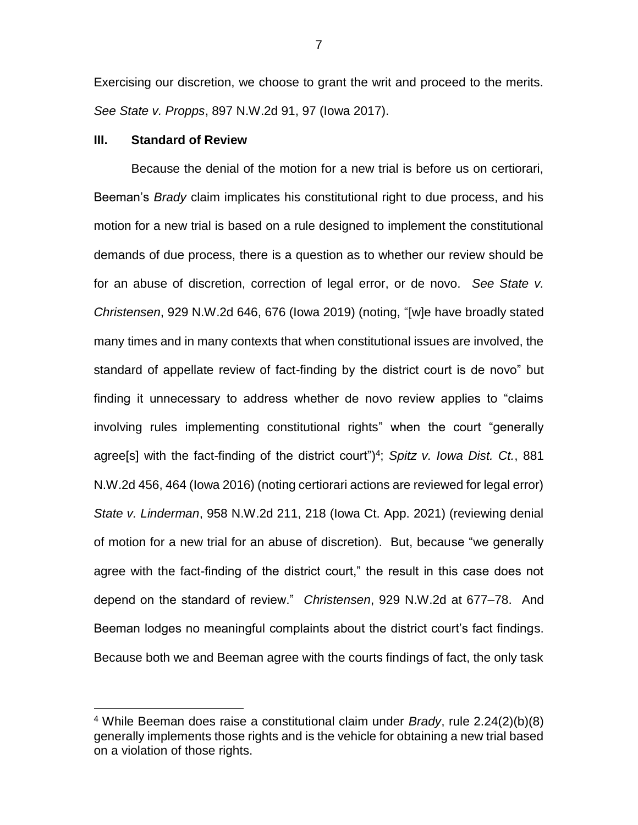Exercising our discretion, we choose to grant the writ and proceed to the merits. *See State v. Propps*, 897 N.W.2d 91, 97 (Iowa 2017).

#### **III. Standard of Review**

 $\overline{a}$ 

Because the denial of the motion for a new trial is before us on certiorari, Beeman's *Brady* claim implicates his constitutional right to due process, and his motion for a new trial is based on a rule designed to implement the constitutional demands of due process, there is a question as to whether our review should be for an abuse of discretion, correction of legal error, or de novo. *See State v. Christensen*, 929 N.W.2d 646, 676 (Iowa 2019) (noting, "[w]e have broadly stated many times and in many contexts that when constitutional issues are involved, the standard of appellate review of fact-finding by the district court is de novo" but finding it unnecessary to address whether de novo review applies to "claims involving rules implementing constitutional rights" when the court "generally agree[s] with the fact-finding of the district court") 4 ; *Spitz v. Iowa Dist. Ct.*, 881 N.W.2d 456, 464 (Iowa 2016) (noting certiorari actions are reviewed for legal error) *State v. Linderman*, 958 N.W.2d 211, 218 (Iowa Ct. App. 2021) (reviewing denial of motion for a new trial for an abuse of discretion). But, because "we generally agree with the fact-finding of the district court," the result in this case does not depend on the standard of review." *Christensen*, 929 N.W.2d at 677–78. And Beeman lodges no meaningful complaints about the district court's fact findings. Because both we and Beeman agree with the courts findings of fact, the only task

7

<sup>4</sup> While Beeman does raise a constitutional claim under *Brady*, rule 2.24(2)(b)(8) generally implements those rights and is the vehicle for obtaining a new trial based on a violation of those rights.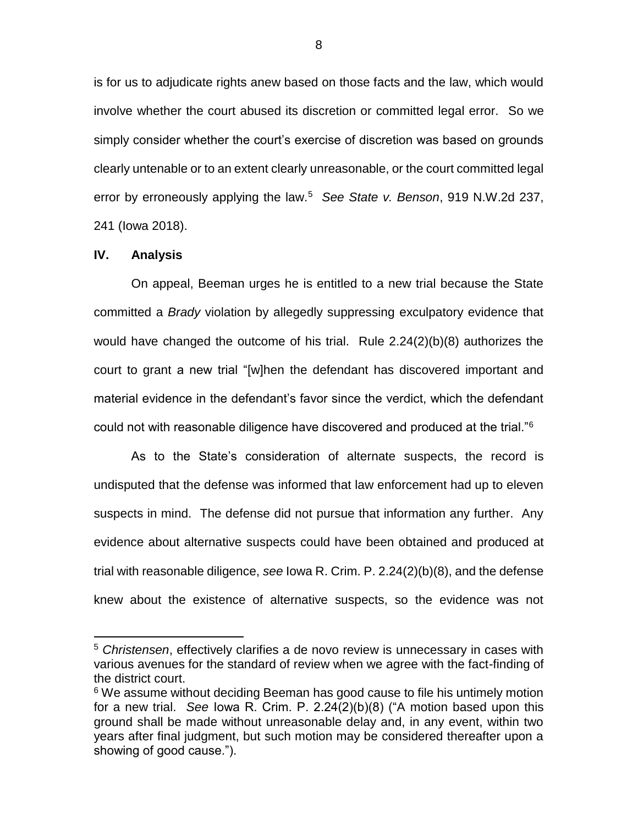is for us to adjudicate rights anew based on those facts and the law, which would involve whether the court abused its discretion or committed legal error. So we simply consider whether the court's exercise of discretion was based on grounds clearly untenable or to an extent clearly unreasonable, or the court committed legal error by erroneously applying the law.<sup>5</sup> *See State v. Benson*, 919 N.W.2d 237, 241 (Iowa 2018).

## **IV. Analysis**

 $\overline{a}$ 

On appeal, Beeman urges he is entitled to a new trial because the State committed a *Brady* violation by allegedly suppressing exculpatory evidence that would have changed the outcome of his trial. Rule 2.24(2)(b)(8) authorizes the court to grant a new trial "[w]hen the defendant has discovered important and material evidence in the defendant's favor since the verdict, which the defendant could not with reasonable diligence have discovered and produced at the trial."<sup>6</sup>

As to the State's consideration of alternate suspects, the record is undisputed that the defense was informed that law enforcement had up to eleven suspects in mind. The defense did not pursue that information any further. Any evidence about alternative suspects could have been obtained and produced at trial with reasonable diligence, *see* Iowa R. Crim. P. 2.24(2)(b)(8), and the defense knew about the existence of alternative suspects, so the evidence was not

<sup>5</sup> *Christensen*, effectively clarifies a de novo review is unnecessary in cases with various avenues for the standard of review when we agree with the fact-finding of the district court.

<sup>&</sup>lt;sup>6</sup> We assume without deciding Beeman has good cause to file his untimely motion for a new trial. *See* Iowa R. Crim. P. 2.24(2)(b)(8) ("A motion based upon this ground shall be made without unreasonable delay and, in any event, within two years after final judgment, but such motion may be considered thereafter upon a showing of good cause.").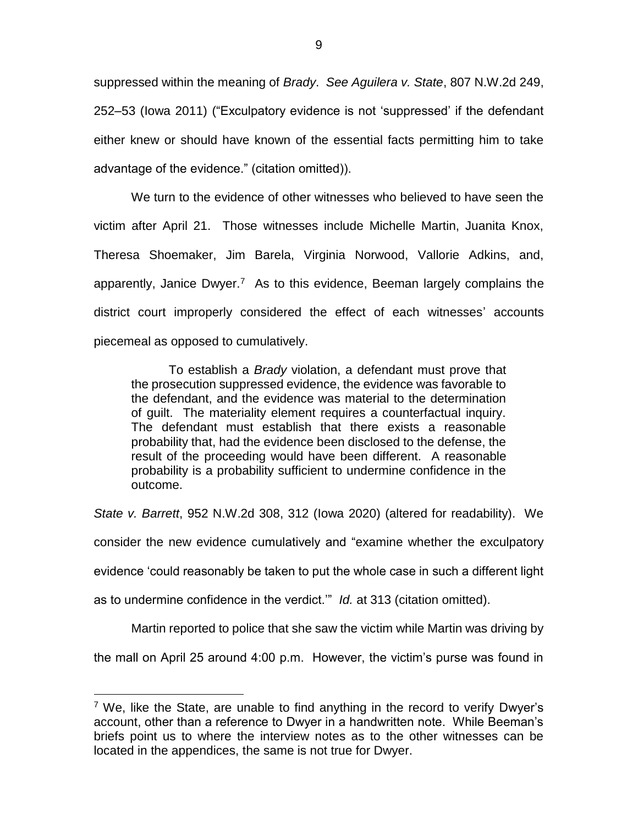suppressed within the meaning of *Brady*. *See Aguilera v. State*, 807 N.W.2d 249, 252–53 (Iowa 2011) ("Exculpatory evidence is not 'suppressed' if the defendant either knew or should have known of the essential facts permitting him to take advantage of the evidence." (citation omitted)).

We turn to the evidence of other witnesses who believed to have seen the victim after April 21. Those witnesses include Michelle Martin, Juanita Knox, Theresa Shoemaker, Jim Barela, Virginia Norwood, Vallorie Adkins, and, apparently, Janice Dwyer.<sup>7</sup> As to this evidence, Beeman largely complains the district court improperly considered the effect of each witnesses' accounts piecemeal as opposed to cumulatively.

To establish a *Brady* violation, a defendant must prove that the prosecution suppressed evidence, the evidence was favorable to the defendant, and the evidence was material to the determination of guilt. The materiality element requires a counterfactual inquiry. The defendant must establish that there exists a reasonable probability that, had the evidence been disclosed to the defense, the result of the proceeding would have been different. A reasonable probability is a probability sufficient to undermine confidence in the outcome.

*State v. Barrett*, 952 N.W.2d 308, 312 (Iowa 2020) (altered for readability). We

consider the new evidence cumulatively and "examine whether the exculpatory

evidence 'could reasonably be taken to put the whole case in such a different light

as to undermine confidence in the verdict.'" *Id.* at 313 (citation omitted).

 $\overline{a}$ 

Martin reported to police that she saw the victim while Martin was driving by

the mall on April 25 around 4:00 p.m. However, the victim's purse was found in

<sup>&</sup>lt;sup>7</sup> We, like the State, are unable to find anything in the record to verify Dwyer's account, other than a reference to Dwyer in a handwritten note. While Beeman's briefs point us to where the interview notes as to the other witnesses can be located in the appendices, the same is not true for Dwyer.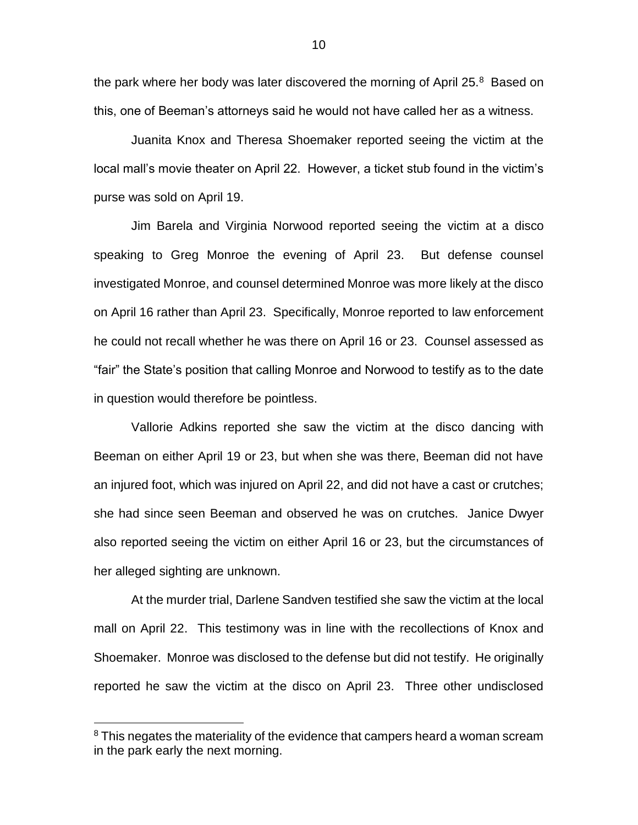the park where her body was later discovered the morning of April 25. $8$  Based on this, one of Beeman's attorneys said he would not have called her as a witness.

Juanita Knox and Theresa Shoemaker reported seeing the victim at the local mall's movie theater on April 22. However, a ticket stub found in the victim's purse was sold on April 19.

Jim Barela and Virginia Norwood reported seeing the victim at a disco speaking to Greg Monroe the evening of April 23. But defense counsel investigated Monroe, and counsel determined Monroe was more likely at the disco on April 16 rather than April 23. Specifically, Monroe reported to law enforcement he could not recall whether he was there on April 16 or 23. Counsel assessed as "fair" the State's position that calling Monroe and Norwood to testify as to the date in question would therefore be pointless.

Vallorie Adkins reported she saw the victim at the disco dancing with Beeman on either April 19 or 23, but when she was there, Beeman did not have an injured foot, which was injured on April 22, and did not have a cast or crutches; she had since seen Beeman and observed he was on crutches. Janice Dwyer also reported seeing the victim on either April 16 or 23, but the circumstances of her alleged sighting are unknown.

At the murder trial, Darlene Sandven testified she saw the victim at the local mall on April 22. This testimony was in line with the recollections of Knox and Shoemaker. Monroe was disclosed to the defense but did not testify. He originally reported he saw the victim at the disco on April 23. Three other undisclosed

 $\overline{a}$ 

<sup>&</sup>lt;sup>8</sup> This negates the materiality of the evidence that campers heard a woman scream in the park early the next morning.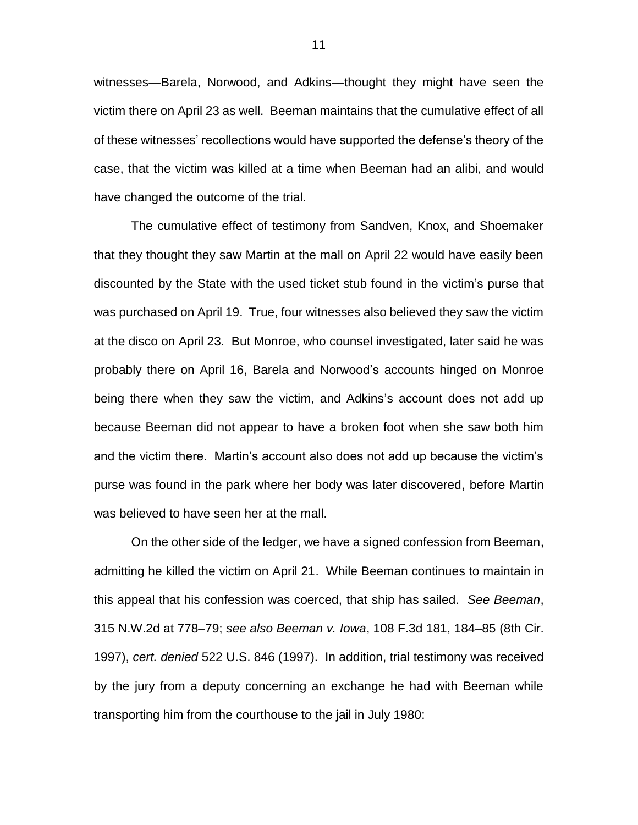witnesses—Barela, Norwood, and Adkins—thought they might have seen the victim there on April 23 as well. Beeman maintains that the cumulative effect of all of these witnesses' recollections would have supported the defense's theory of the case, that the victim was killed at a time when Beeman had an alibi, and would have changed the outcome of the trial.

The cumulative effect of testimony from Sandven, Knox, and Shoemaker that they thought they saw Martin at the mall on April 22 would have easily been discounted by the State with the used ticket stub found in the victim's purse that was purchased on April 19. True, four witnesses also believed they saw the victim at the disco on April 23. But Monroe, who counsel investigated, later said he was probably there on April 16, Barela and Norwood's accounts hinged on Monroe being there when they saw the victim, and Adkins's account does not add up because Beeman did not appear to have a broken foot when she saw both him and the victim there. Martin's account also does not add up because the victim's purse was found in the park where her body was later discovered, before Martin was believed to have seen her at the mall.

On the other side of the ledger, we have a signed confession from Beeman, admitting he killed the victim on April 21. While Beeman continues to maintain in this appeal that his confession was coerced, that ship has sailed. *See Beeman*, 315 N.W.2d at 778–79; *see also Beeman v. Iowa*, 108 F.3d 181, 184–85 (8th Cir. 1997), *cert. denied* 522 U.S. 846 (1997). In addition, trial testimony was received by the jury from a deputy concerning an exchange he had with Beeman while transporting him from the courthouse to the jail in July 1980: